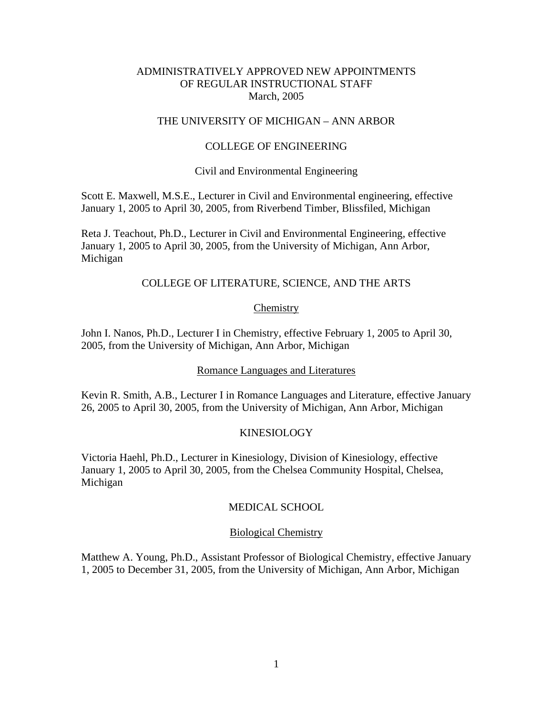## ADMINISTRATIVELY APPROVED NEW APPOINTMENTS OF REGULAR INSTRUCTIONAL STAFF March, 2005

## THE UNIVERSITY OF MICHIGAN – ANN ARBOR

#### COLLEGE OF ENGINEERING

#### Civil and Environmental Engineering

Scott E. Maxwell, M.S.E., Lecturer in Civil and Environmental engineering, effective January 1, 2005 to April 30, 2005, from Riverbend Timber, Blissfiled, Michigan

Reta J. Teachout, Ph.D., Lecturer in Civil and Environmental Engineering, effective January 1, 2005 to April 30, 2005, from the University of Michigan, Ann Arbor, Michigan

### COLLEGE OF LITERATURE, SCIENCE, AND THE ARTS

### Chemistry

John I. Nanos, Ph.D., Lecturer I in Chemistry, effective February 1, 2005 to April 30, 2005, from the University of Michigan, Ann Arbor, Michigan

#### Romance Languages and Literatures

Kevin R. Smith, A.B., Lecturer I in Romance Languages and Literature, effective January 26, 2005 to April 30, 2005, from the University of Michigan, Ann Arbor, Michigan

### KINESIOLOGY

Victoria Haehl, Ph.D., Lecturer in Kinesiology, Division of Kinesiology, effective January 1, 2005 to April 30, 2005, from the Chelsea Community Hospital, Chelsea, Michigan

### MEDICAL SCHOOL

#### Biological Chemistry

Matthew A. Young, Ph.D., Assistant Professor of Biological Chemistry, effective January 1, 2005 to December 31, 2005, from the University of Michigan, Ann Arbor, Michigan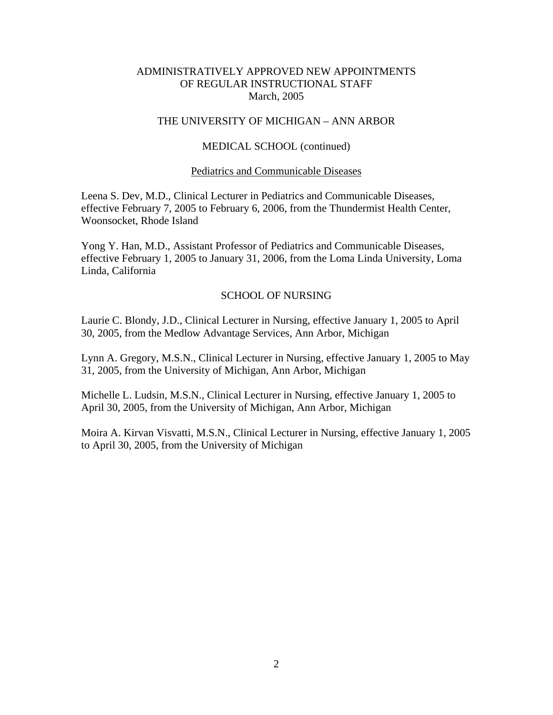## ADMINISTRATIVELY APPROVED NEW APPOINTMENTS OF REGULAR INSTRUCTIONAL STAFF March, 2005

## THE UNIVERSITY OF MICHIGAN – ANN ARBOR

### MEDICAL SCHOOL (continued)

### Pediatrics and Communicable Diseases

Leena S. Dev, M.D., Clinical Lecturer in Pediatrics and Communicable Diseases, effective February 7, 2005 to February 6, 2006, from the Thundermist Health Center, Woonsocket, Rhode Island

Yong Y. Han, M.D., Assistant Professor of Pediatrics and Communicable Diseases, effective February 1, 2005 to January 31, 2006, from the Loma Linda University, Loma Linda, California

### SCHOOL OF NURSING

Laurie C. Blondy, J.D., Clinical Lecturer in Nursing, effective January 1, 2005 to April 30, 2005, from the Medlow Advantage Services, Ann Arbor, Michigan

Lynn A. Gregory, M.S.N., Clinical Lecturer in Nursing, effective January 1, 2005 to May 31, 2005, from the University of Michigan, Ann Arbor, Michigan

Michelle L. Ludsin, M.S.N., Clinical Lecturer in Nursing, effective January 1, 2005 to April 30, 2005, from the University of Michigan, Ann Arbor, Michigan

Moira A. Kirvan Visvatti, M.S.N., Clinical Lecturer in Nursing, effective January 1, 2005 to April 30, 2005, from the University of Michigan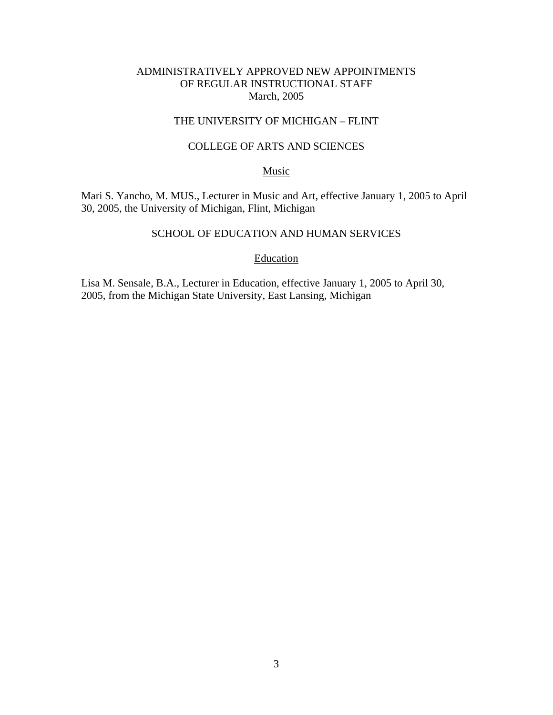## ADMINISTRATIVELY APPROVED NEW APPOINTMENTS OF REGULAR INSTRUCTIONAL STAFF March, 2005

# THE UNIVERSITY OF MICHIGAN – FLINT

## COLLEGE OF ARTS AND SCIENCES

### Music

Mari S. Yancho, M. MUS., Lecturer in Music and Art, effective January 1, 2005 to April 30, 2005, the University of Michigan, Flint, Michigan

### SCHOOL OF EDUCATION AND HUMAN SERVICES

### Education

Lisa M. Sensale, B.A., Lecturer in Education, effective January 1, 2005 to April 30, 2005, from the Michigan State University, East Lansing, Michigan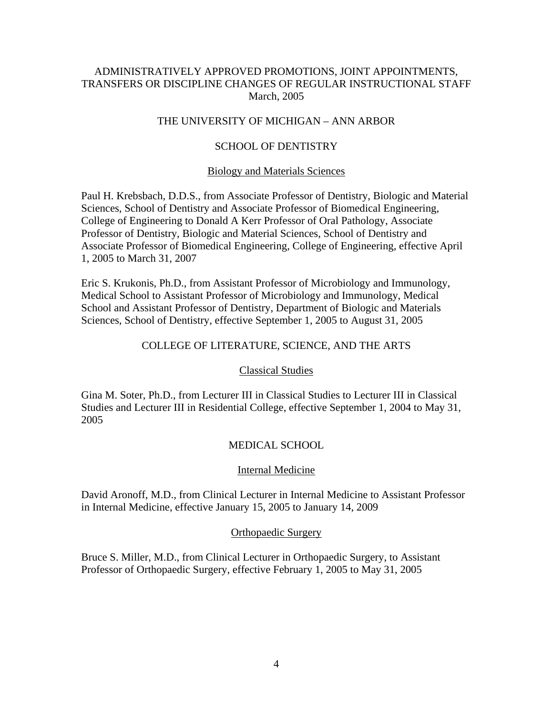## ADMINISTRATIVELY APPROVED PROMOTIONS, JOINT APPOINTMENTS, TRANSFERS OR DISCIPLINE CHANGES OF REGULAR INSTRUCTIONAL STAFF March, 2005

# THE UNIVERSITY OF MICHIGAN – ANN ARBOR

### SCHOOL OF DENTISTRY

### Biology and Materials Sciences

Paul H. Krebsbach, D.D.S., from Associate Professor of Dentistry, Biologic and Material Sciences, School of Dentistry and Associate Professor of Biomedical Engineering, College of Engineering to Donald A Kerr Professor of Oral Pathology, Associate Professor of Dentistry, Biologic and Material Sciences, School of Dentistry and Associate Professor of Biomedical Engineering, College of Engineering, effective April 1, 2005 to March 31, 2007

Eric S. Krukonis, Ph.D., from Assistant Professor of Microbiology and Immunology, Medical School to Assistant Professor of Microbiology and Immunology, Medical School and Assistant Professor of Dentistry, Department of Biologic and Materials Sciences, School of Dentistry, effective September 1, 2005 to August 31, 2005

#### COLLEGE OF LITERATURE, SCIENCE, AND THE ARTS

#### Classical Studies

Gina M. Soter, Ph.D., from Lecturer III in Classical Studies to Lecturer III in Classical Studies and Lecturer III in Residential College, effective September 1, 2004 to May 31, 2005

### MEDICAL SCHOOL

### Internal Medicine

David Aronoff, M.D., from Clinical Lecturer in Internal Medicine to Assistant Professor in Internal Medicine, effective January 15, 2005 to January 14, 2009

#### Orthopaedic Surgery

Bruce S. Miller, M.D., from Clinical Lecturer in Orthopaedic Surgery, to Assistant Professor of Orthopaedic Surgery, effective February 1, 2005 to May 31, 2005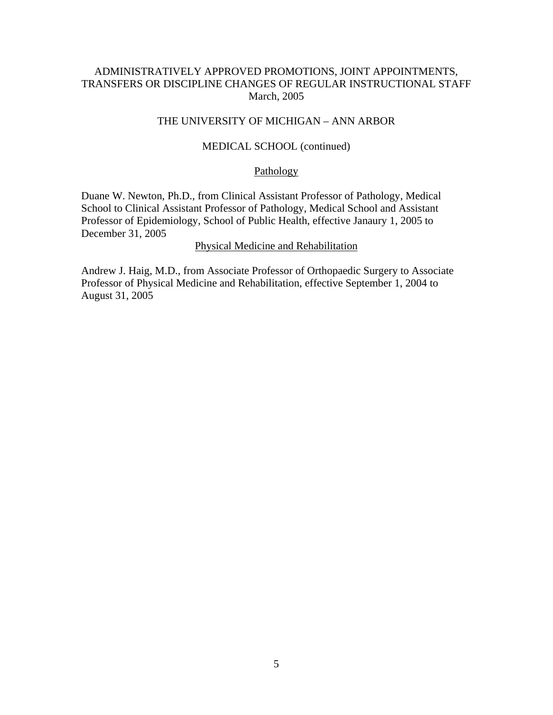## ADMINISTRATIVELY APPROVED PROMOTIONS, JOINT APPOINTMENTS, TRANSFERS OR DISCIPLINE CHANGES OF REGULAR INSTRUCTIONAL STAFF March, 2005

### THE UNIVERSITY OF MICHIGAN – ANN ARBOR

#### MEDICAL SCHOOL (continued)

#### Pathology

Duane W. Newton, Ph.D., from Clinical Assistant Professor of Pathology, Medical School to Clinical Assistant Professor of Pathology, Medical School and Assistant Professor of Epidemiology, School of Public Health, effective Janaury 1, 2005 to December 31, 2005

#### Physical Medicine and Rehabilitation

Andrew J. Haig, M.D., from Associate Professor of Orthopaedic Surgery to Associate Professor of Physical Medicine and Rehabilitation, effective September 1, 2004 to August 31, 2005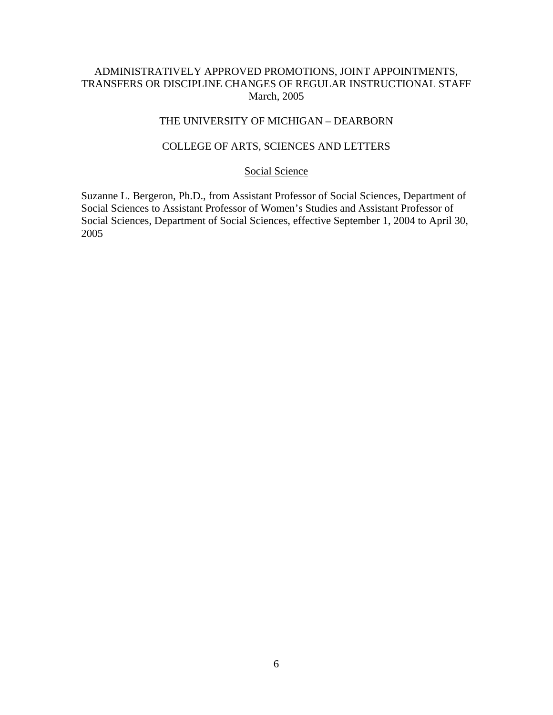## ADMINISTRATIVELY APPROVED PROMOTIONS, JOINT APPOINTMENTS, TRANSFERS OR DISCIPLINE CHANGES OF REGULAR INSTRUCTIONAL STAFF March, 2005

# THE UNIVERSITY OF MICHIGAN – DEARBORN

## COLLEGE OF ARTS, SCIENCES AND LETTERS

# Social Science

Suzanne L. Bergeron, Ph.D., from Assistant Professor of Social Sciences, Department of Social Sciences to Assistant Professor of Women's Studies and Assistant Professor of Social Sciences, Department of Social Sciences, effective September 1, 2004 to April 30, 2005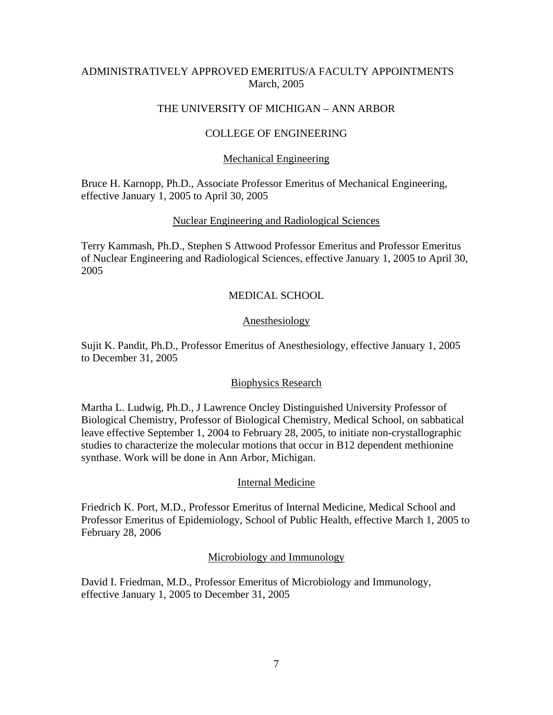## ADMINISTRATIVELY APPROVED EMERITUS/A FACULTY APPOINTMENTS March, 2005

## THE UNIVERSITY OF MICHIGAN – ANN ARBOR

## COLLEGE OF ENGINEERING

### Mechanical Engineering

Bruce H. Karnopp, Ph.D., Associate Professor Emeritus of Mechanical Engineering, effective January 1, 2005 to April 30, 2005

### Nuclear Engineering and Radiological Sciences

Terry Kammash, Ph.D., Stephen S Attwood Professor Emeritus and Professor Emeritus of Nuclear Engineering and Radiological Sciences, effective January 1, 2005 to April 30, 2005

## MEDICAL SCHOOL

### Anesthesiology

Sujit K. Pandit, Ph.D., Professor Emeritus of Anesthesiology, effective January 1, 2005 to December 31, 2005

### Biophysics Research

Martha L. Ludwig, Ph.D., J Lawrence Oncley Distinguished University Professor of Biological Chemistry, Professor of Biological Chemistry, Medical School, on sabbatical leave effective September 1, 2004 to February 28, 2005, to initiate non-crystallographic studies to characterize the molecular motions that occur in B12 dependent methionine synthase. Work will be done in Ann Arbor, Michigan.

### Internal Medicine

Friedrich K. Port, M.D., Professor Emeritus of Internal Medicine, Medical School and Professor Emeritus of Epidemiology, School of Public Health, effective March 1, 2005 to February 28, 2006

### Microbiology and Immunology

David I. Friedman, M.D., Professor Emeritus of Microbiology and Immunology, effective January 1, 2005 to December 31, 2005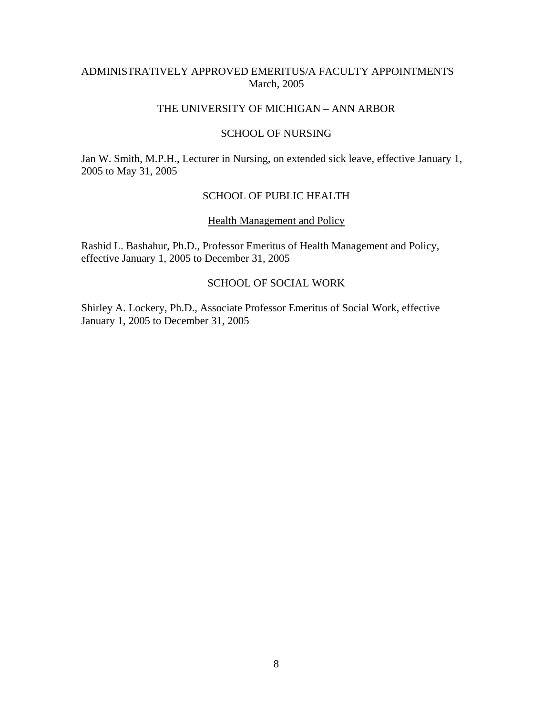## ADMINISTRATIVELY APPROVED EMERITUS/A FACULTY APPOINTMENTS March, 2005

## THE UNIVERSITY OF MICHIGAN – ANN ARBOR

## SCHOOL OF NURSING

Jan W. Smith, M.P.H., Lecturer in Nursing, on extended sick leave, effective January 1, 2005 to May 31, 2005

## SCHOOL OF PUBLIC HEALTH

#### Health Management and Policy

Rashid L. Bashahur, Ph.D., Professor Emeritus of Health Management and Policy, effective January 1, 2005 to December 31, 2005

# SCHOOL OF SOCIAL WORK

Shirley A. Lockery, Ph.D., Associate Professor Emeritus of Social Work, effective January 1, 2005 to December 31, 2005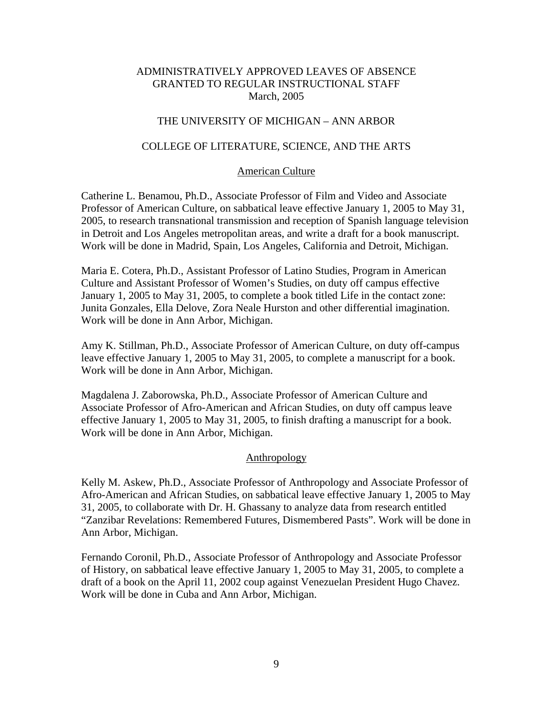## THE UNIVERSITY OF MICHIGAN – ANN ARBOR

### COLLEGE OF LITERATURE, SCIENCE, AND THE ARTS

#### American Culture

Catherine L. Benamou, Ph.D., Associate Professor of Film and Video and Associate Professor of American Culture, on sabbatical leave effective January 1, 2005 to May 31, 2005, to research transnational transmission and reception of Spanish language television in Detroit and Los Angeles metropolitan areas, and write a draft for a book manuscript. Work will be done in Madrid, Spain, Los Angeles, California and Detroit, Michigan.

Maria E. Cotera, Ph.D., Assistant Professor of Latino Studies, Program in American Culture and Assistant Professor of Women's Studies, on duty off campus effective January 1, 2005 to May 31, 2005, to complete a book titled Life in the contact zone: Junita Gonzales, Ella Delove, Zora Neale Hurston and other differential imagination. Work will be done in Ann Arbor, Michigan.

Amy K. Stillman, Ph.D., Associate Professor of American Culture, on duty off-campus leave effective January 1, 2005 to May 31, 2005, to complete a manuscript for a book. Work will be done in Ann Arbor, Michigan.

Magdalena J. Zaborowska, Ph.D., Associate Professor of American Culture and Associate Professor of Afro-American and African Studies, on duty off campus leave effective January 1, 2005 to May 31, 2005, to finish drafting a manuscript for a book. Work will be done in Ann Arbor, Michigan.

### Anthropology

Kelly M. Askew, Ph.D., Associate Professor of Anthropology and Associate Professor of Afro-American and African Studies, on sabbatical leave effective January 1, 2005 to May 31, 2005, to collaborate with Dr. H. Ghassany to analyze data from research entitled "Zanzibar Revelations: Remembered Futures, Dismembered Pasts". Work will be done in Ann Arbor, Michigan.

Fernando Coronil, Ph.D., Associate Professor of Anthropology and Associate Professor of History, on sabbatical leave effective January 1, 2005 to May 31, 2005, to complete a draft of a book on the April 11, 2002 coup against Venezuelan President Hugo Chavez. Work will be done in Cuba and Ann Arbor, Michigan.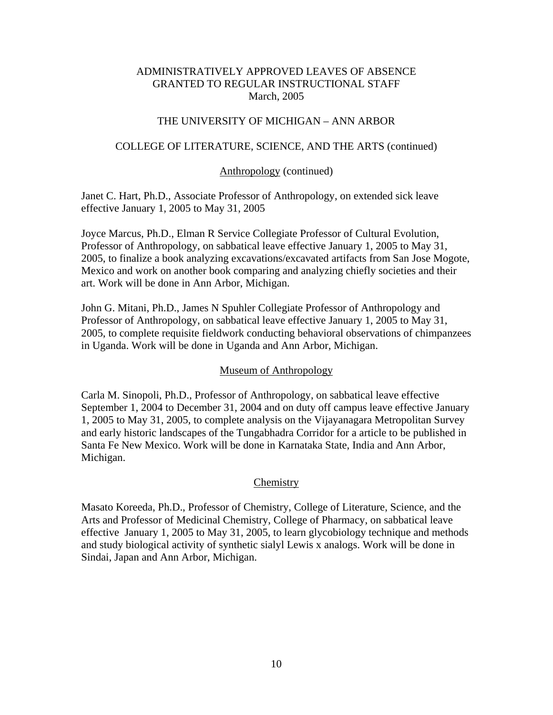## THE UNIVERSITY OF MICHIGAN – ANN ARBOR

### COLLEGE OF LITERATURE, SCIENCE, AND THE ARTS (continued)

### Anthropology (continued)

Janet C. Hart, Ph.D., Associate Professor of Anthropology, on extended sick leave effective January 1, 2005 to May 31, 2005

Joyce Marcus, Ph.D., Elman R Service Collegiate Professor of Cultural Evolution, Professor of Anthropology, on sabbatical leave effective January 1, 2005 to May 31, 2005, to finalize a book analyzing excavations/excavated artifacts from San Jose Mogote, Mexico and work on another book comparing and analyzing chiefly societies and their art. Work will be done in Ann Arbor, Michigan.

John G. Mitani, Ph.D., James N Spuhler Collegiate Professor of Anthropology and Professor of Anthropology, on sabbatical leave effective January 1, 2005 to May 31, 2005, to complete requisite fieldwork conducting behavioral observations of chimpanzees in Uganda. Work will be done in Uganda and Ann Arbor, Michigan.

## Museum of Anthropology

Carla M. Sinopoli, Ph.D., Professor of Anthropology, on sabbatical leave effective September 1, 2004 to December 31, 2004 and on duty off campus leave effective January 1, 2005 to May 31, 2005, to complete analysis on the Vijayanagara Metropolitan Survey and early historic landscapes of the Tungabhadra Corridor for a article to be published in Santa Fe New Mexico. Work will be done in Karnataka State, India and Ann Arbor, Michigan.

### **Chemistry**

Masato Koreeda, Ph.D., Professor of Chemistry, College of Literature, Science, and the Arts and Professor of Medicinal Chemistry, College of Pharmacy, on sabbatical leave effective January 1, 2005 to May 31, 2005, to learn glycobiology technique and methods and study biological activity of synthetic sialyl Lewis x analogs. Work will be done in Sindai, Japan and Ann Arbor, Michigan.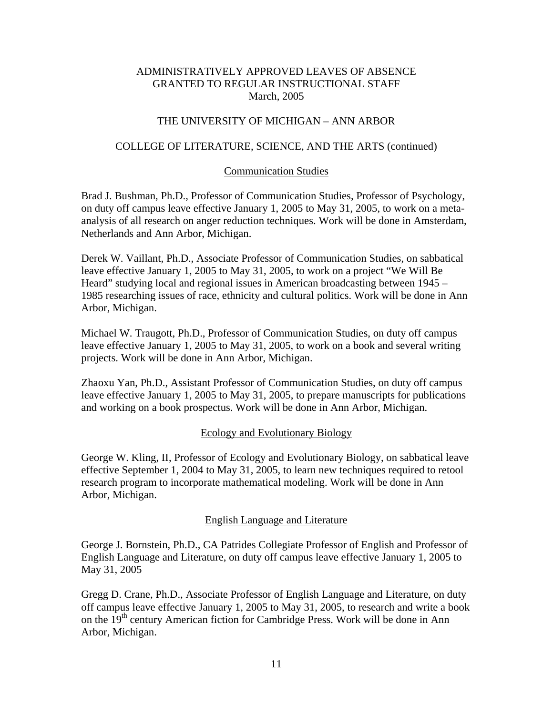## THE UNIVERSITY OF MICHIGAN – ANN ARBOR

### COLLEGE OF LITERATURE, SCIENCE, AND THE ARTS (continued)

#### Communication Studies

Brad J. Bushman, Ph.D., Professor of Communication Studies, Professor of Psychology, on duty off campus leave effective January 1, 2005 to May 31, 2005, to work on a metaanalysis of all research on anger reduction techniques. Work will be done in Amsterdam, Netherlands and Ann Arbor, Michigan.

Derek W. Vaillant, Ph.D., Associate Professor of Communication Studies, on sabbatical leave effective January 1, 2005 to May 31, 2005, to work on a project "We Will Be Heard" studying local and regional issues in American broadcasting between 1945 – 1985 researching issues of race, ethnicity and cultural politics. Work will be done in Ann Arbor, Michigan.

Michael W. Traugott, Ph.D., Professor of Communication Studies, on duty off campus leave effective January 1, 2005 to May 31, 2005, to work on a book and several writing projects. Work will be done in Ann Arbor, Michigan.

Zhaoxu Yan, Ph.D., Assistant Professor of Communication Studies, on duty off campus leave effective January 1, 2005 to May 31, 2005, to prepare manuscripts for publications and working on a book prospectus. Work will be done in Ann Arbor, Michigan.

### Ecology and Evolutionary Biology

George W. Kling, II, Professor of Ecology and Evolutionary Biology, on sabbatical leave effective September 1, 2004 to May 31, 2005, to learn new techniques required to retool research program to incorporate mathematical modeling. Work will be done in Ann Arbor, Michigan.

### English Language and Literature

George J. Bornstein, Ph.D., CA Patrides Collegiate Professor of English and Professor of English Language and Literature, on duty off campus leave effective January 1, 2005 to May 31, 2005

Gregg D. Crane, Ph.D., Associate Professor of English Language and Literature, on duty off campus leave effective January 1, 2005 to May 31, 2005, to research and write a book on the  $19<sup>th</sup>$  century American fiction for Cambridge Press. Work will be done in Ann Arbor, Michigan.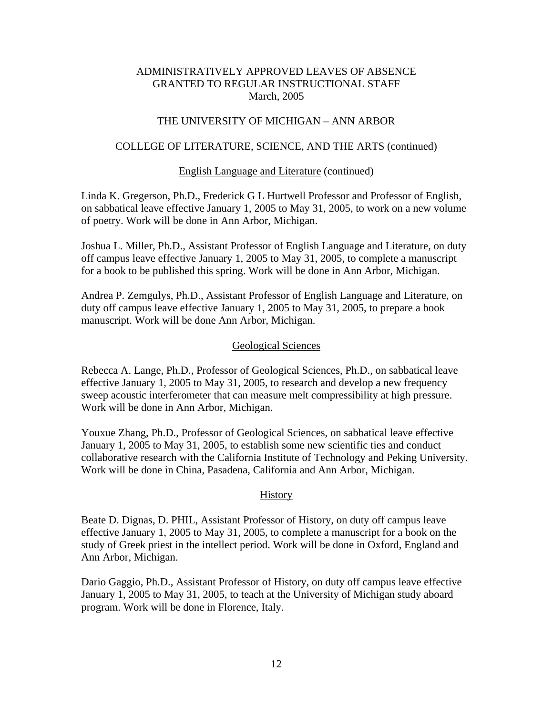## THE UNIVERSITY OF MICHIGAN – ANN ARBOR

### COLLEGE OF LITERATURE, SCIENCE, AND THE ARTS (continued)

### English Language and Literature (continued)

Linda K. Gregerson, Ph.D., Frederick G L Hurtwell Professor and Professor of English, on sabbatical leave effective January 1, 2005 to May 31, 2005, to work on a new volume of poetry. Work will be done in Ann Arbor, Michigan.

Joshua L. Miller, Ph.D., Assistant Professor of English Language and Literature, on duty off campus leave effective January 1, 2005 to May 31, 2005, to complete a manuscript for a book to be published this spring. Work will be done in Ann Arbor, Michigan.

Andrea P. Zemgulys, Ph.D., Assistant Professor of English Language and Literature, on duty off campus leave effective January 1, 2005 to May 31, 2005, to prepare a book manuscript. Work will be done Ann Arbor, Michigan.

### Geological Sciences

Rebecca A. Lange, Ph.D., Professor of Geological Sciences, Ph.D., on sabbatical leave effective January 1, 2005 to May 31, 2005, to research and develop a new frequency sweep acoustic interferometer that can measure melt compressibility at high pressure. Work will be done in Ann Arbor, Michigan.

Youxue Zhang, Ph.D., Professor of Geological Sciences, on sabbatical leave effective January 1, 2005 to May 31, 2005, to establish some new scientific ties and conduct collaborative research with the California Institute of Technology and Peking University. Work will be done in China, Pasadena, California and Ann Arbor, Michigan.

### History

Beate D. Dignas, D. PHIL, Assistant Professor of History, on duty off campus leave effective January 1, 2005 to May 31, 2005, to complete a manuscript for a book on the study of Greek priest in the intellect period. Work will be done in Oxford, England and Ann Arbor, Michigan.

Dario Gaggio, Ph.D., Assistant Professor of History, on duty off campus leave effective January 1, 2005 to May 31, 2005, to teach at the University of Michigan study aboard program. Work will be done in Florence, Italy.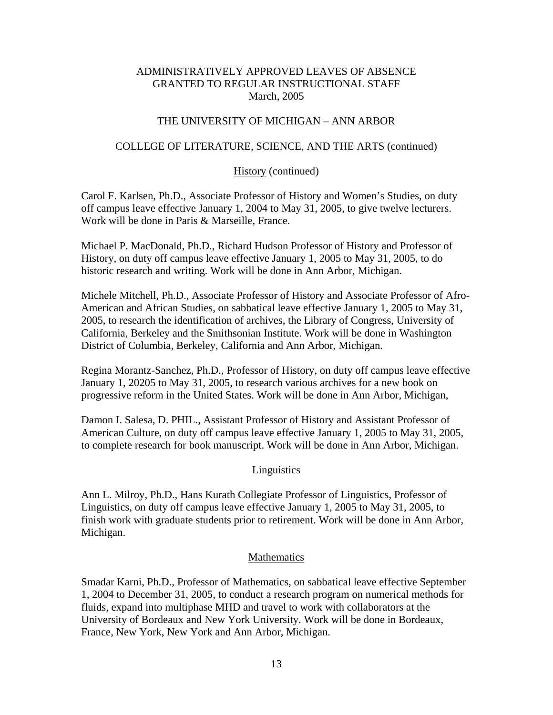### THE UNIVERSITY OF MICHIGAN – ANN ARBOR

### COLLEGE OF LITERATURE, SCIENCE, AND THE ARTS (continued)

### History (continued)

Carol F. Karlsen, Ph.D., Associate Professor of History and Women's Studies, on duty off campus leave effective January 1, 2004 to May 31, 2005, to give twelve lecturers. Work will be done in Paris & Marseille, France.

Michael P. MacDonald, Ph.D., Richard Hudson Professor of History and Professor of History, on duty off campus leave effective January 1, 2005 to May 31, 2005, to do historic research and writing. Work will be done in Ann Arbor, Michigan.

Michele Mitchell, Ph.D., Associate Professor of History and Associate Professor of Afro-American and African Studies, on sabbatical leave effective January 1, 2005 to May 31, 2005, to research the identification of archives, the Library of Congress, University of California, Berkeley and the Smithsonian Institute. Work will be done in Washington District of Columbia, Berkeley, California and Ann Arbor, Michigan.

Regina Morantz-Sanchez, Ph.D., Professor of History, on duty off campus leave effective January 1, 20205 to May 31, 2005, to research various archives for a new book on progressive reform in the United States. Work will be done in Ann Arbor, Michigan,

Damon I. Salesa, D. PHIL., Assistant Professor of History and Assistant Professor of American Culture, on duty off campus leave effective January 1, 2005 to May 31, 2005, to complete research for book manuscript. Work will be done in Ann Arbor, Michigan.

## **Linguistics**

Ann L. Milroy, Ph.D., Hans Kurath Collegiate Professor of Linguistics, Professor of Linguistics, on duty off campus leave effective January 1, 2005 to May 31, 2005, to finish work with graduate students prior to retirement. Work will be done in Ann Arbor, Michigan.

### Mathematics

Smadar Karni, Ph.D., Professor of Mathematics, on sabbatical leave effective September 1, 2004 to December 31, 2005, to conduct a research program on numerical methods for fluids, expand into multiphase MHD and travel to work with collaborators at the University of Bordeaux and New York University. Work will be done in Bordeaux, France, New York, New York and Ann Arbor, Michigan.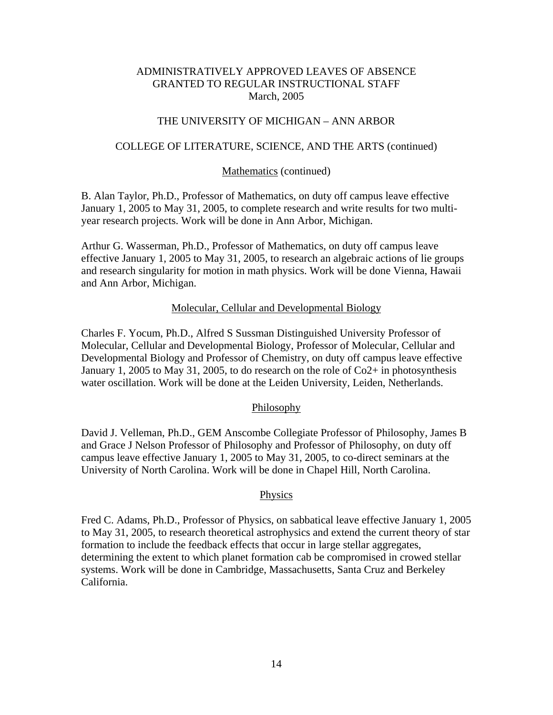### THE UNIVERSITY OF MICHIGAN – ANN ARBOR

### COLLEGE OF LITERATURE, SCIENCE, AND THE ARTS (continued)

#### Mathematics (continued)

B. Alan Taylor, Ph.D., Professor of Mathematics, on duty off campus leave effective January 1, 2005 to May 31, 2005, to complete research and write results for two multiyear research projects. Work will be done in Ann Arbor, Michigan.

Arthur G. Wasserman, Ph.D., Professor of Mathematics, on duty off campus leave effective January 1, 2005 to May 31, 2005, to research an algebraic actions of lie groups and research singularity for motion in math physics. Work will be done Vienna, Hawaii and Ann Arbor, Michigan.

#### Molecular, Cellular and Developmental Biology

Charles F. Yocum, Ph.D., Alfred S Sussman Distinguished University Professor of Molecular, Cellular and Developmental Biology, Professor of Molecular, Cellular and Developmental Biology and Professor of Chemistry, on duty off campus leave effective January 1, 2005 to May 31, 2005, to do research on the role of  $Co2+$  in photosynthesis water oscillation. Work will be done at the Leiden University, Leiden, Netherlands.

#### Philosophy

David J. Velleman, Ph.D., GEM Anscombe Collegiate Professor of Philosophy, James B and Grace J Nelson Professor of Philosophy and Professor of Philosophy, on duty off campus leave effective January 1, 2005 to May 31, 2005, to co-direct seminars at the University of North Carolina. Work will be done in Chapel Hill, North Carolina.

#### Physics

Fred C. Adams, Ph.D., Professor of Physics, on sabbatical leave effective January 1, 2005 to May 31, 2005, to research theoretical astrophysics and extend the current theory of star formation to include the feedback effects that occur in large stellar aggregates, determining the extent to which planet formation cab be compromised in crowed stellar systems. Work will be done in Cambridge, Massachusetts, Santa Cruz and Berkeley California.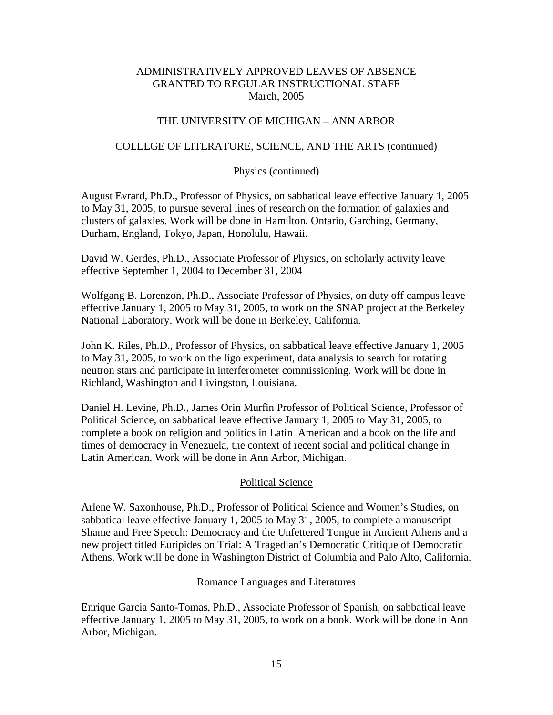## THE UNIVERSITY OF MICHIGAN – ANN ARBOR

### COLLEGE OF LITERATURE, SCIENCE, AND THE ARTS (continued)

### Physics (continued)

August Evrard, Ph.D., Professor of Physics, on sabbatical leave effective January 1, 2005 to May 31, 2005, to pursue several lines of research on the formation of galaxies and clusters of galaxies. Work will be done in Hamilton, Ontario, Garching, Germany, Durham, England, Tokyo, Japan, Honolulu, Hawaii.

David W. Gerdes, Ph.D., Associate Professor of Physics, on scholarly activity leave effective September 1, 2004 to December 31, 2004

Wolfgang B. Lorenzon, Ph.D., Associate Professor of Physics, on duty off campus leave effective January 1, 2005 to May 31, 2005, to work on the SNAP project at the Berkeley National Laboratory. Work will be done in Berkeley, California.

John K. Riles, Ph.D., Professor of Physics, on sabbatical leave effective January 1, 2005 to May 31, 2005, to work on the ligo experiment, data analysis to search for rotating neutron stars and participate in interferometer commissioning. Work will be done in Richland, Washington and Livingston, Louisiana.

Daniel H. Levine, Ph.D., James Orin Murfin Professor of Political Science, Professor of Political Science, on sabbatical leave effective January 1, 2005 to May 31, 2005, to complete a book on religion and politics in Latin American and a book on the life and times of democracy in Venezuela, the context of recent social and political change in Latin American. Work will be done in Ann Arbor, Michigan.

## Political Science

Arlene W. Saxonhouse, Ph.D., Professor of Political Science and Women's Studies, on sabbatical leave effective January 1, 2005 to May 31, 2005, to complete a manuscript Shame and Free Speech: Democracy and the Unfettered Tongue in Ancient Athens and a new project titled Euripides on Trial: A Tragedian's Democratic Critique of Democratic Athens. Work will be done in Washington District of Columbia and Palo Alto, California.

### Romance Languages and Literatures

Enrique Garcia Santo-Tomas, Ph.D., Associate Professor of Spanish, on sabbatical leave effective January 1, 2005 to May 31, 2005, to work on a book. Work will be done in Ann Arbor, Michigan.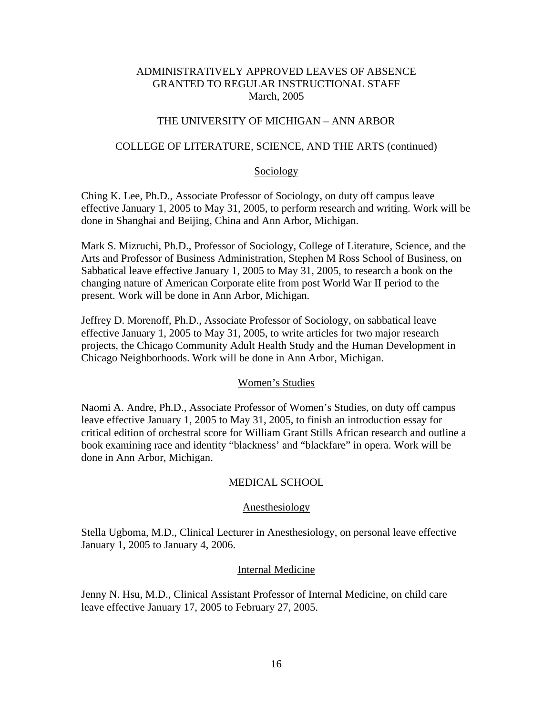### THE UNIVERSITY OF MICHIGAN – ANN ARBOR

### COLLEGE OF LITERATURE, SCIENCE, AND THE ARTS (continued)

#### Sociology

Ching K. Lee, Ph.D., Associate Professor of Sociology, on duty off campus leave effective January 1, 2005 to May 31, 2005, to perform research and writing. Work will be done in Shanghai and Beijing, China and Ann Arbor, Michigan.

Mark S. Mizruchi, Ph.D., Professor of Sociology, College of Literature, Science, and the Arts and Professor of Business Administration, Stephen M Ross School of Business, on Sabbatical leave effective January 1, 2005 to May 31, 2005, to research a book on the changing nature of American Corporate elite from post World War II period to the present. Work will be done in Ann Arbor, Michigan.

Jeffrey D. Morenoff, Ph.D., Associate Professor of Sociology, on sabbatical leave effective January 1, 2005 to May 31, 2005, to write articles for two major research projects, the Chicago Community Adult Health Study and the Human Development in Chicago Neighborhoods. Work will be done in Ann Arbor, Michigan.

#### Women's Studies

Naomi A. Andre, Ph.D., Associate Professor of Women's Studies, on duty off campus leave effective January 1, 2005 to May 31, 2005, to finish an introduction essay for critical edition of orchestral score for William Grant Stills African research and outline a book examining race and identity "blackness' and "blackfare" in opera. Work will be done in Ann Arbor, Michigan.

### MEDICAL SCHOOL

#### Anesthesiology

Stella Ugboma, M.D., Clinical Lecturer in Anesthesiology, on personal leave effective January 1, 2005 to January 4, 2006.

#### Internal Medicine

Jenny N. Hsu, M.D., Clinical Assistant Professor of Internal Medicine, on child care leave effective January 17, 2005 to February 27, 2005.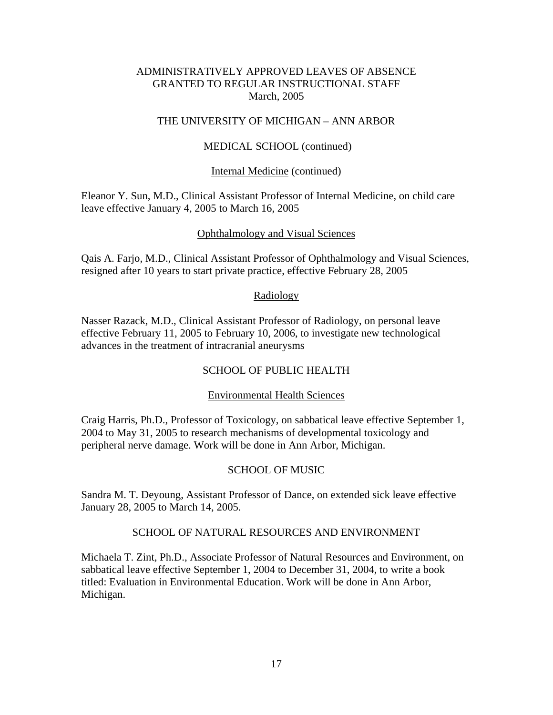### THE UNIVERSITY OF MICHIGAN – ANN ARBOR

### MEDICAL SCHOOL (continued)

#### Internal Medicine (continued)

Eleanor Y. Sun, M.D., Clinical Assistant Professor of Internal Medicine, on child care leave effective January 4, 2005 to March 16, 2005

#### Ophthalmology and Visual Sciences

Qais A. Farjo, M.D., Clinical Assistant Professor of Ophthalmology and Visual Sciences, resigned after 10 years to start private practice, effective February 28, 2005

#### Radiology

Nasser Razack, M.D., Clinical Assistant Professor of Radiology, on personal leave effective February 11, 2005 to February 10, 2006, to investigate new technological advances in the treatment of intracranial aneurysms

### SCHOOL OF PUBLIC HEALTH

#### Environmental Health Sciences

Craig Harris, Ph.D., Professor of Toxicology, on sabbatical leave effective September 1, 2004 to May 31, 2005 to research mechanisms of developmental toxicology and peripheral nerve damage. Work will be done in Ann Arbor, Michigan.

### SCHOOL OF MUSIC

Sandra M. T. Deyoung, Assistant Professor of Dance, on extended sick leave effective January 28, 2005 to March 14, 2005.

### SCHOOL OF NATURAL RESOURCES AND ENVIRONMENT

Michaela T. Zint, Ph.D., Associate Professor of Natural Resources and Environment, on sabbatical leave effective September 1, 2004 to December 31, 2004, to write a book titled: Evaluation in Environmental Education. Work will be done in Ann Arbor, Michigan.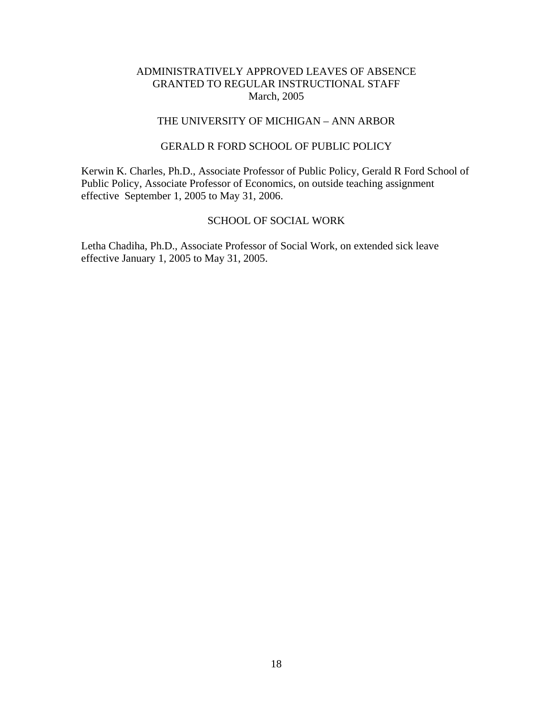## THE UNIVERSITY OF MICHIGAN – ANN ARBOR

## GERALD R FORD SCHOOL OF PUBLIC POLICY

Kerwin K. Charles, Ph.D., Associate Professor of Public Policy, Gerald R Ford School of Public Policy, Associate Professor of Economics, on outside teaching assignment effective September 1, 2005 to May 31, 2006.

## SCHOOL OF SOCIAL WORK

Letha Chadiha, Ph.D., Associate Professor of Social Work, on extended sick leave effective January 1, 2005 to May 31, 2005.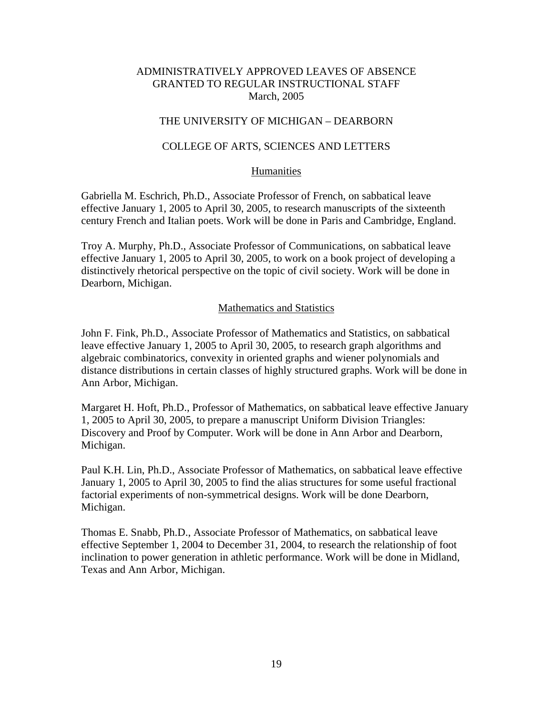## THE UNIVERSITY OF MICHIGAN – DEARBORN

### COLLEGE OF ARTS, SCIENCES AND LETTERS

#### Humanities

Gabriella M. Eschrich, Ph.D., Associate Professor of French, on sabbatical leave effective January 1, 2005 to April 30, 2005, to research manuscripts of the sixteenth century French and Italian poets. Work will be done in Paris and Cambridge, England.

Troy A. Murphy, Ph.D., Associate Professor of Communications, on sabbatical leave effective January 1, 2005 to April 30, 2005, to work on a book project of developing a distinctively rhetorical perspective on the topic of civil society. Work will be done in Dearborn, Michigan.

#### Mathematics and Statistics

John F. Fink, Ph.D., Associate Professor of Mathematics and Statistics, on sabbatical leave effective January 1, 2005 to April 30, 2005, to research graph algorithms and algebraic combinatorics, convexity in oriented graphs and wiener polynomials and distance distributions in certain classes of highly structured graphs. Work will be done in Ann Arbor, Michigan.

Margaret H. Hoft, Ph.D., Professor of Mathematics, on sabbatical leave effective January 1, 2005 to April 30, 2005, to prepare a manuscript Uniform Division Triangles: Discovery and Proof by Computer. Work will be done in Ann Arbor and Dearborn, Michigan.

Paul K.H. Lin, Ph.D., Associate Professor of Mathematics, on sabbatical leave effective January 1, 2005 to April 30, 2005 to find the alias structures for some useful fractional factorial experiments of non-symmetrical designs. Work will be done Dearborn, Michigan.

Thomas E. Snabb, Ph.D., Associate Professor of Mathematics, on sabbatical leave effective September 1, 2004 to December 31, 2004, to research the relationship of foot inclination to power generation in athletic performance. Work will be done in Midland, Texas and Ann Arbor, Michigan.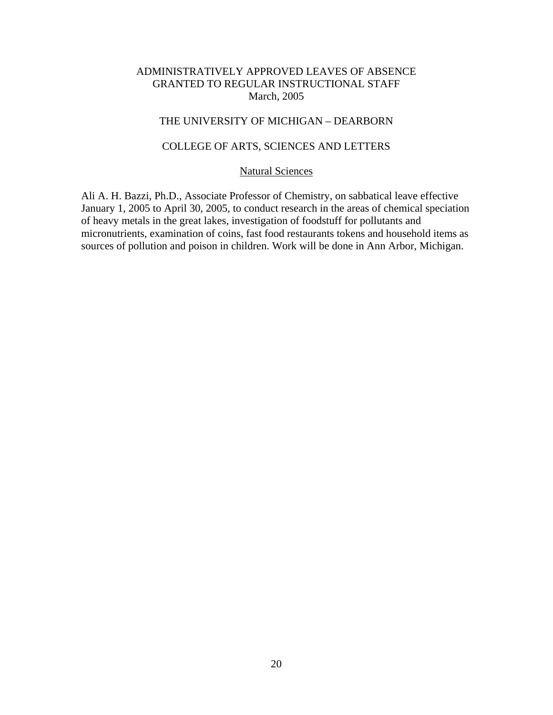## THE UNIVERSITY OF MICHIGAN – DEARBORN

## COLLEGE OF ARTS, SCIENCES AND LETTERS

#### Natural Sciences

Ali A. H. Bazzi, Ph.D., Associate Professor of Chemistry, on sabbatical leave effective January 1, 2005 to April 30, 2005, to conduct research in the areas of chemical speciation of heavy metals in the great lakes, investigation of foodstuff for pollutants and micronutrients, examination of coins, fast food restaurants tokens and household items as sources of pollution and poison in children. Work will be done in Ann Arbor, Michigan.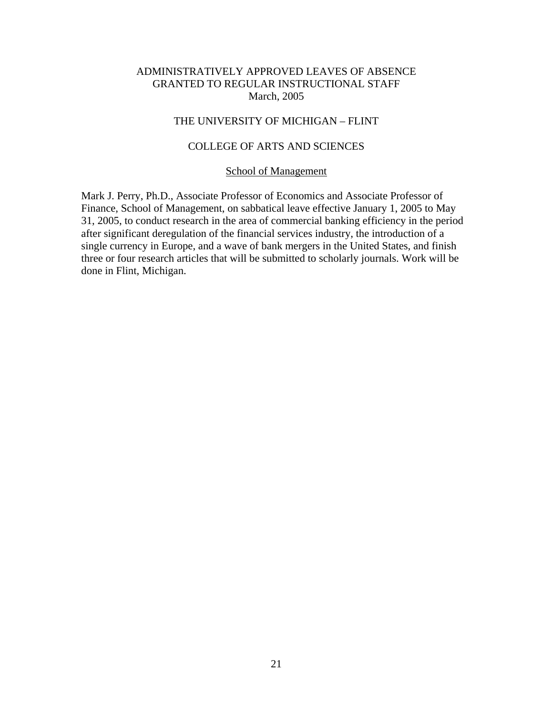## THE UNIVERSITY OF MICHIGAN – FLINT

## COLLEGE OF ARTS AND SCIENCES

### School of Management

Mark J. Perry, Ph.D., Associate Professor of Economics and Associate Professor of Finance, School of Management, on sabbatical leave effective January 1, 2005 to May 31, 2005, to conduct research in the area of commercial banking efficiency in the period after significant deregulation of the financial services industry, the introduction of a single currency in Europe, and a wave of bank mergers in the United States, and finish three or four research articles that will be submitted to scholarly journals. Work will be done in Flint, Michigan.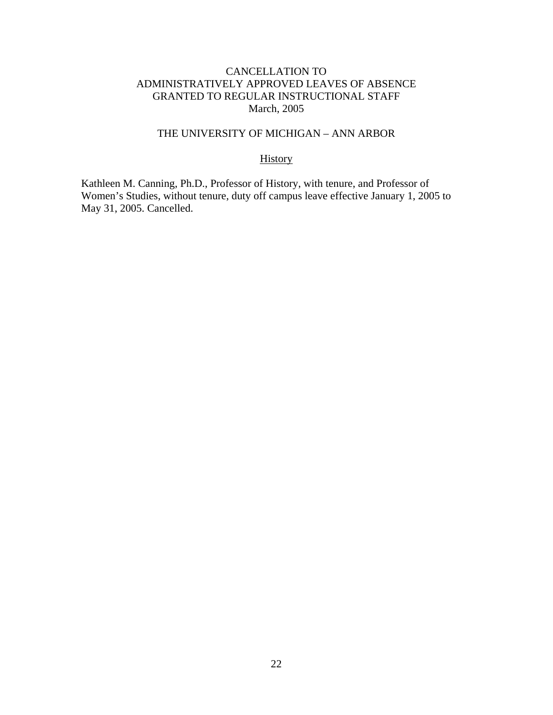## THE UNIVERSITY OF MICHIGAN – ANN ARBOR

## **History**

Kathleen M. Canning, Ph.D., Professor of History, with tenure, and Professor of Women's Studies, without tenure, duty off campus leave effective January 1, 2005 to May 31, 2005. Cancelled.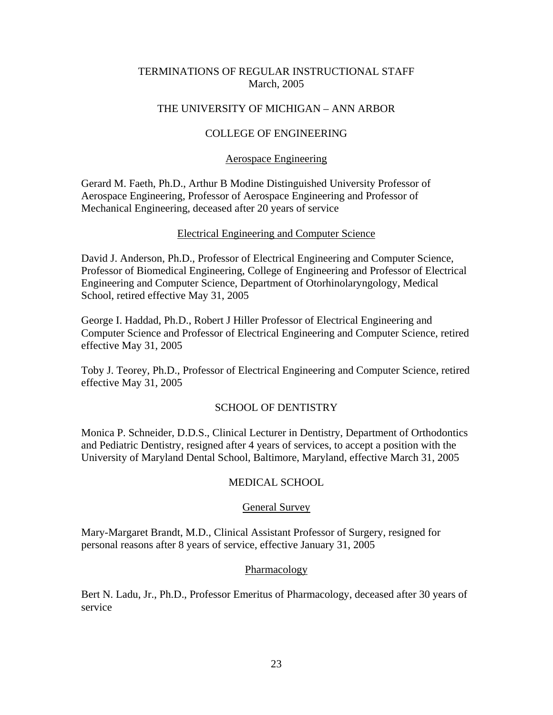## TERMINATIONS OF REGULAR INSTRUCTIONAL STAFF March, 2005

## THE UNIVERSITY OF MICHIGAN – ANN ARBOR

# COLLEGE OF ENGINEERING

## Aerospace Engineering

Gerard M. Faeth, Ph.D., Arthur B Modine Distinguished University Professor of Aerospace Engineering, Professor of Aerospace Engineering and Professor of Mechanical Engineering, deceased after 20 years of service

## Electrical Engineering and Computer Science

David J. Anderson, Ph.D., Professor of Electrical Engineering and Computer Science, Professor of Biomedical Engineering, College of Engineering and Professor of Electrical Engineering and Computer Science, Department of Otorhinolaryngology, Medical School, retired effective May 31, 2005

George I. Haddad, Ph.D., Robert J Hiller Professor of Electrical Engineering and Computer Science and Professor of Electrical Engineering and Computer Science, retired effective May 31, 2005

Toby J. Teorey, Ph.D., Professor of Electrical Engineering and Computer Science, retired effective May 31, 2005

## SCHOOL OF DENTISTRY

Monica P. Schneider, D.D.S., Clinical Lecturer in Dentistry, Department of Orthodontics and Pediatric Dentistry, resigned after 4 years of services, to accept a position with the University of Maryland Dental School, Baltimore, Maryland, effective March 31, 2005

## MEDICAL SCHOOL

### General Survey

Mary-Margaret Brandt, M.D., Clinical Assistant Professor of Surgery, resigned for personal reasons after 8 years of service, effective January 31, 2005

### **Pharmacology**

Bert N. Ladu, Jr., Ph.D., Professor Emeritus of Pharmacology, deceased after 30 years of service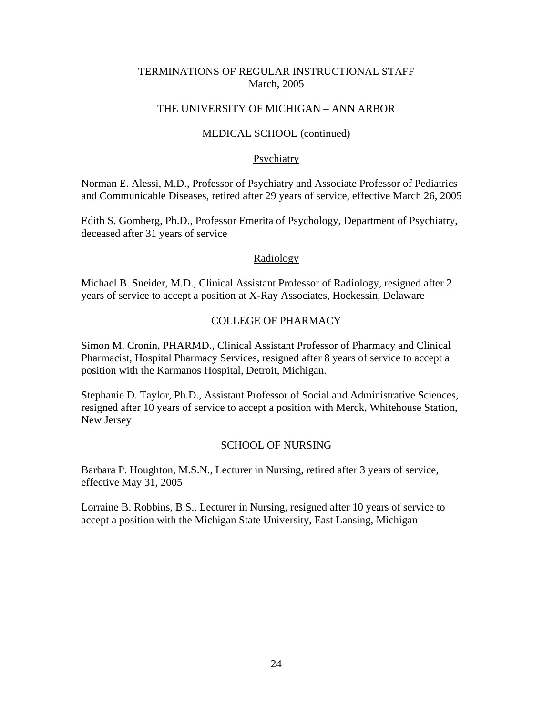## TERMINATIONS OF REGULAR INSTRUCTIONAL STAFF March, 2005

## THE UNIVERSITY OF MICHIGAN – ANN ARBOR

### MEDICAL SCHOOL (continued)

### **Psychiatry**

Norman E. Alessi, M.D., Professor of Psychiatry and Associate Professor of Pediatrics and Communicable Diseases, retired after 29 years of service, effective March 26, 2005

Edith S. Gomberg, Ph.D., Professor Emerita of Psychology, Department of Psychiatry, deceased after 31 years of service

### Radiology

Michael B. Sneider, M.D., Clinical Assistant Professor of Radiology, resigned after 2 years of service to accept a position at X-Ray Associates, Hockessin, Delaware

## COLLEGE OF PHARMACY

Simon M. Cronin, PHARMD., Clinical Assistant Professor of Pharmacy and Clinical Pharmacist, Hospital Pharmacy Services, resigned after 8 years of service to accept a position with the Karmanos Hospital, Detroit, Michigan.

Stephanie D. Taylor, Ph.D., Assistant Professor of Social and Administrative Sciences, resigned after 10 years of service to accept a position with Merck, Whitehouse Station, New Jersey

## SCHOOL OF NURSING

Barbara P. Houghton, M.S.N., Lecturer in Nursing, retired after 3 years of service, effective May 31, 2005

Lorraine B. Robbins, B.S., Lecturer in Nursing, resigned after 10 years of service to accept a position with the Michigan State University, East Lansing, Michigan